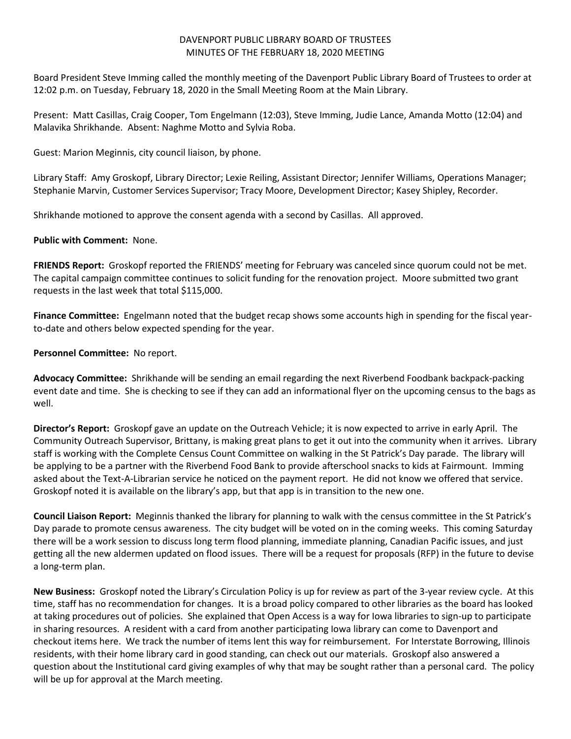## DAVENPORT PUBLIC LIBRARY BOARD OF TRUSTEES MINUTES OF THE FEBRUARY 18, 2020 MEETING

Board President Steve Imming called the monthly meeting of the Davenport Public Library Board of Trustees to order at 12:02 p.m. on Tuesday, February 18, 2020 in the Small Meeting Room at the Main Library.

Present: Matt Casillas, Craig Cooper, Tom Engelmann (12:03), Steve Imming, Judie Lance, Amanda Motto (12:04) and Malavika Shrikhande. Absent: Naghme Motto and Sylvia Roba.

Guest: Marion Meginnis, city council liaison, by phone.

Library Staff: Amy Groskopf, Library Director; Lexie Reiling, Assistant Director; Jennifer Williams, Operations Manager; Stephanie Marvin, Customer Services Supervisor; Tracy Moore, Development Director; Kasey Shipley, Recorder.

Shrikhande motioned to approve the consent agenda with a second by Casillas. All approved.

## **Public with Comment:** None.

**FRIENDS Report:** Groskopf reported the FRIENDS' meeting for February was canceled since quorum could not be met. The capital campaign committee continues to solicit funding for the renovation project. Moore submitted two grant requests in the last week that total \$115,000.

**Finance Committee:** Engelmann noted that the budget recap shows some accounts high in spending for the fiscal yearto-date and others below expected spending for the year.

**Personnel Committee:** No report.

**Advocacy Committee:** Shrikhande will be sending an email regarding the next Riverbend Foodbank backpack-packing event date and time. She is checking to see if they can add an informational flyer on the upcoming census to the bags as well.

**Director's Report:** Groskopf gave an update on the Outreach Vehicle; it is now expected to arrive in early April. The Community Outreach Supervisor, Brittany, is making great plans to get it out into the community when it arrives. Library staff is working with the Complete Census Count Committee on walking in the St Patrick's Day parade. The library will be applying to be a partner with the Riverbend Food Bank to provide afterschool snacks to kids at Fairmount. Imming asked about the Text-A-Librarian service he noticed on the payment report. He did not know we offered that service. Groskopf noted it is available on the library's app, but that app is in transition to the new one.

**Council Liaison Report:** Meginnis thanked the library for planning to walk with the census committee in the St Patrick's Day parade to promote census awareness. The city budget will be voted on in the coming weeks. This coming Saturday there will be a work session to discuss long term flood planning, immediate planning, Canadian Pacific issues, and just getting all the new aldermen updated on flood issues. There will be a request for proposals (RFP) in the future to devise a long-term plan.

**New Business:** Groskopf noted the Library's Circulation Policy is up for review as part of the 3-year review cycle. At this time, staff has no recommendation for changes. It is a broad policy compared to other libraries as the board has looked at taking procedures out of policies. She explained that Open Access is a way for Iowa libraries to sign-up to participate in sharing resources. A resident with a card from another participating Iowa library can come to Davenport and checkout items here. We track the number of items lent this way for reimbursement. For Interstate Borrowing, Illinois residents, with their home library card in good standing, can check out our materials. Groskopf also answered a question about the Institutional card giving examples of why that may be sought rather than a personal card. The policy will be up for approval at the March meeting.